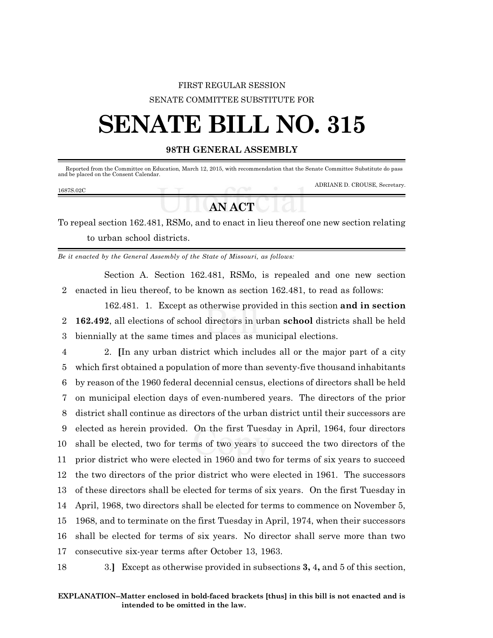### FIRST REGULAR SESSION SENATE COMMITTEE SUBSTITUTE FOR

# **SENATE BILL NO. 315**

#### **98TH GENERAL ASSEMBLY**

| and be placed on the Consent Calendar. |  | Reported from the Committee on Education, March 12, 2015, with recommendation that the Senate Committee Substitute do pass |
|----------------------------------------|--|----------------------------------------------------------------------------------------------------------------------------|
| 1687S.02C                              |  | ADRIANE D. CROUSE, Secretary.                                                                                              |
|                                        |  |                                                                                                                            |

## **AN ACT**

To repeal section 162.481, RSMo, and to enact in lieu thereof one new section relating to urban school districts.

*Be it enacted by the General Assembly of the State of Missouri, as follows:*

Section A. Section 162.481, RSMo, is repealed and one new section 2 enacted in lieu thereof, to be known as section 162.481, to read as follows:

162.481. 1. Except as otherwise provided in this section **and in section** 2 **162.492**, all elections of school directors in urban **school** districts shall be held 3 biennially at the same times and places as municipal elections.

 2. **[**In any urban district which includes all or the major part of a city which first obtained a population of more than seventy-five thousand inhabitants by reason of the 1960 federal decennial census, elections of directors shall be held on municipal election days of even-numbered years. The directors of the prior district shall continue as directors of the urban district until their successors are elected as herein provided. On the first Tuesday in April, 1964, four directors shall be elected, two for terms of two years to succeed the two directors of the prior district who were elected in 1960 and two for terms of six years to succeed the two directors of the prior district who were elected in 1961. The successors of these directors shall be elected for terms of six years. On the first Tuesday in April, 1968, two directors shall be elected for terms to commence on November 5, 1968, and to terminate on the first Tuesday in April, 1974, when their successors shall be elected for terms of six years. No director shall serve more than two consecutive six-year terms after October 13, 1963.

18 3.**]** Except as otherwise provided in subsections **3,** 4**,** and 5 of this section,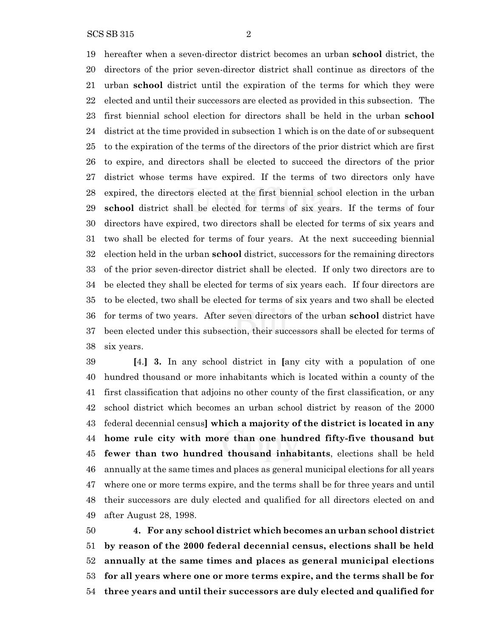hereafter when a seven-director district becomes an urban **school** district, the directors of the prior seven-director district shall continue as directors of the urban **school** district until the expiration of the terms for which they were elected and until their successors are elected as provided in this subsection. The first biennial school election for directors shall be held in the urban **school** district at the time provided in subsection 1 which is on the date of or subsequent to the expiration of the terms of the directors of the prior district which are first to expire, and directors shall be elected to succeed the directors of the prior district whose terms have expired. If the terms of two directors only have expired, the directors elected at the first biennial school election in the urban **school** district shall be elected for terms of six years. If the terms of four directors have expired, two directors shall be elected for terms of six years and two shall be elected for terms of four years. At the next succeeding biennial election held in the urban **school** district, successors for the remaining directors of the prior seven-director district shall be elected. If only two directors are to be elected they shall be elected for terms of six years each. If four directors are to be elected, two shall be elected for terms of six years and two shall be elected for terms of two years. After seven directors of the urban **school** district have been elected under this subsection, their successors shall be elected for terms of six years.

 **[**4.**] 3.** In any school district in **[**any city with a population of one hundred thousand or more inhabitants which is located within a county of the first classification that adjoins no other county of the first classification, or any school district which becomes an urban school district by reason of the 2000 federal decennial census**] which a majority of the district is located in any home rule city with more than one hundred fifty-five thousand but fewer than two hundred thousand inhabitants**, elections shall be held annually at the same times and places as general municipal elections for all years where one or more terms expire, and the terms shall be for three years and until their successors are duly elected and qualified for all directors elected on and after August 28, 1998.

 **4. For any school district which becomes an urban school district by reason of the 2000 federal decennial census, elections shall be held annually at the same times and places as general municipal elections for all years where one or more terms expire, and the terms shall be for three years and until their successors are duly elected and qualified for**